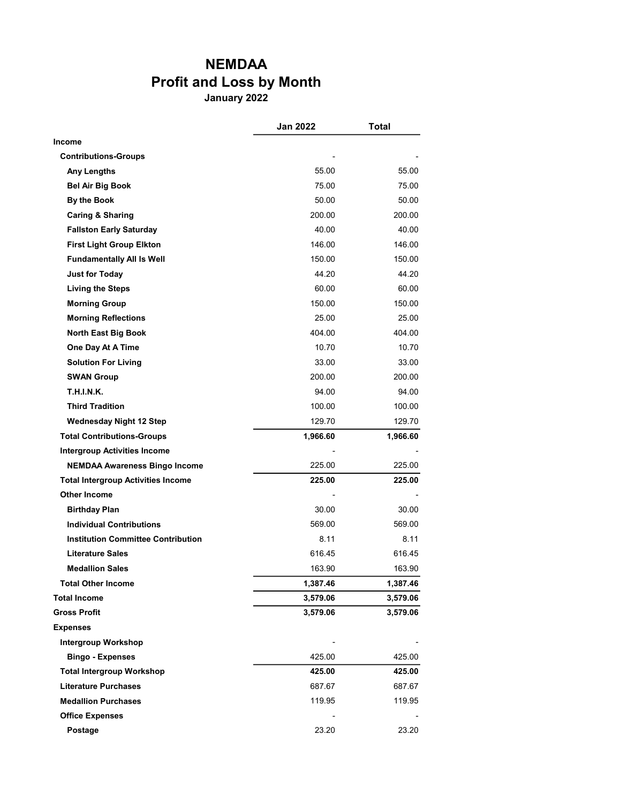## NEMDAA Profit and Loss by Month

January 2022

|                                           | <b>Jan 2022</b> | Total    |
|-------------------------------------------|-----------------|----------|
| <b>Income</b>                             |                 |          |
| <b>Contributions-Groups</b>               |                 |          |
| Any Lengths                               | 55.00           | 55.00    |
| <b>Bel Air Big Book</b>                   | 75.00           | 75.00    |
| By the Book                               | 50.00           | 50.00    |
| <b>Caring &amp; Sharing</b>               | 200.00          | 200.00   |
| <b>Fallston Early Saturday</b>            | 40.00           | 40.00    |
| <b>First Light Group Elkton</b>           | 146.00          | 146.00   |
| <b>Fundamentally All Is Well</b>          | 150.00          | 150.00   |
| <b>Just for Today</b>                     | 44.20           | 44.20    |
| <b>Living the Steps</b>                   | 60.00           | 60.00    |
| <b>Morning Group</b>                      | 150.00          | 150.00   |
| <b>Morning Reflections</b>                | 25.00           | 25.00    |
| <b>North East Big Book</b>                | 404.00          | 404.00   |
| One Day At A Time                         | 10.70           | 10.70    |
| <b>Solution For Living</b>                | 33.00           | 33.00    |
| <b>SWAN Group</b>                         | 200.00          | 200.00   |
| <b>T.H.I.N.K.</b>                         | 94.00           | 94.00    |
| <b>Third Tradition</b>                    | 100.00          | 100.00   |
| <b>Wednesday Night 12 Step</b>            | 129.70          | 129.70   |
| <b>Total Contributions-Groups</b>         | 1,966.60        | 1,966.60 |
| <b>Intergroup Activities Income</b>       |                 |          |
| <b>NEMDAA Awareness Bingo Income</b>      | 225.00          | 225.00   |
| <b>Total Intergroup Activities Income</b> | 225.00          | 225.00   |
| Other Income                              |                 |          |
| <b>Birthday Plan</b>                      | 30.00           | 30.00    |
| <b>Individual Contributions</b>           | 569.00          | 569.00   |
| <b>Institution Committee Contribution</b> | 8.11            | 8.11     |
| <b>Literature Sales</b>                   | 616.45          | 616.45   |
| <b>Medallion Sales</b>                    | 163.90          | 163.90   |
| <b>Total Other Income</b>                 | 1,387.46        | 1,387.46 |
| <b>Total Income</b>                       | 3,579.06        | 3,579.06 |
| <b>Gross Profit</b>                       | 3,579.06        | 3,579.06 |
| <b>Expenses</b>                           |                 |          |
| <b>Intergroup Workshop</b>                |                 |          |
| <b>Bingo - Expenses</b>                   | 425.00          | 425.00   |
| <b>Total Intergroup Workshop</b>          | 425.00          | 425.00   |
| <b>Literature Purchases</b>               | 687.67          | 687.67   |
| <b>Medallion Purchases</b>                | 119.95          | 119.95   |
| <b>Office Expenses</b>                    |                 |          |
| Postage                                   | 23.20           | 23.20    |